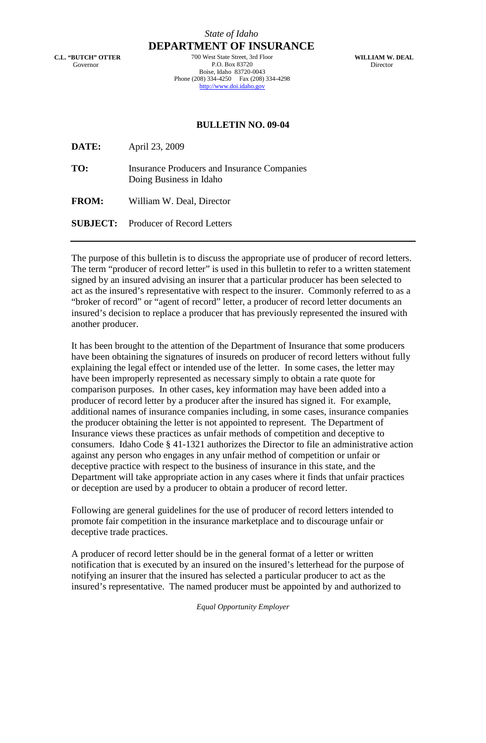**C.L. "BUTCH" OTTER** Governor

*State of Idaho* **DEPARTMENT OF INSURANCE**

> 700 West State Street, 3rd Floor P.O. Box 83720 Boise, Idaho 83720-0043 Phone (208) 334-4250 Fax (208) 334-4298 http://www.doi.idaho.gov

**WILLIAM W. DEAL** Director

## **BULLETIN NO. 09-04**

**DATE:** April 23, 2009

**TO:** Insurance Producers and Insurance Companies Doing Business in Idaho

**FROM:** William W. Deal, Director

**SUBJECT:** Producer of Record Letters

The purpose of this bulletin is to discuss the appropriate use of producer of record letters. The term "producer of record letter" is used in this bulletin to refer to a written statement signed by an insured advising an insurer that a particular producer has been selected to act as the insured's representative with respect to the insurer. Commonly referred to as a "broker of record" or "agent of record" letter, a producer of record letter documents an insured's decision to replace a producer that has previously represented the insured with another producer.

It has been brought to the attention of the Department of Insurance that some producers have been obtaining the signatures of insureds on producer of record letters without fully explaining the legal effect or intended use of the letter. In some cases, the letter may have been improperly represented as necessary simply to obtain a rate quote for comparison purposes. In other cases, key information may have been added into a producer of record letter by a producer after the insured has signed it. For example, additional names of insurance companies including, in some cases, insurance companies the producer obtaining the letter is not appointed to represent. The Department of Insurance views these practices as unfair methods of competition and deceptive to consumers. Idaho Code § 41-1321 authorizes the Director to file an administrative action against any person who engages in any unfair method of competition or unfair or deceptive practice with respect to the business of insurance in this state, and the Department will take appropriate action in any cases where it finds that unfair practices or deception are used by a producer to obtain a producer of record letter.

Following are general guidelines for the use of producer of record letters intended to promote fair competition in the insurance marketplace and to discourage unfair or deceptive trade practices.

A producer of record letter should be in the general format of a letter or written notification that is executed by an insured on the insured's letterhead for the purpose of notifying an insurer that the insured has selected a particular producer to act as the insured's representative. The named producer must be appointed by and authorized to

*Equal Opportunity Employer*